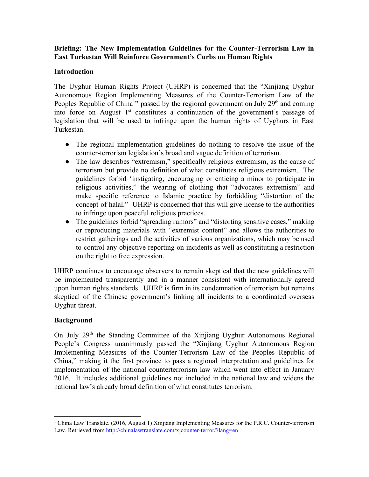**Briefing: The New Implementation Guidelines for the Counter-Terrorism Law in East Turkestan Will Reinforce Government's Curbs on Human Rights**

## **Introduction**

The Uyghur Human Rights Project (UHRP) is concerned that the "Xinjiang Uyghur Autonomous Region Implementing Measures of the Counter-Terrorism Law of the Peoples Republic of China<sup>1</sup><sup>1</sup> passed by the regional government on July 29<sup>th</sup> and coming into force on August 1<sup>st</sup> constitutes a continuation of the government's passage of legislation that will be used to infringe upon the human rights of Uyghurs in East Turkestan.

- The regional implementation guidelines do nothing to resolve the issue of the counter-terrorism legislation's broad and vague definition of terrorism.
- The law describes "extremism," specifically religious extremism, as the cause of terrorism but provide no definition of what constitutes religious extremism. The guidelines forbid 'instigating, encouraging or enticing a minor to participate in religious activities," the wearing of clothing that "advocates extremism" and make specific reference to Islamic practice by forbidding "distortion of the concept of halal." UHRP is concerned that this will give license to the authorities to infringe upon peaceful religious practices.
- The guidelines forbid "spreading rumors" and "distorting sensitive cases," making or reproducing materials with "extremist content" and allows the authorities to restrict gatherings and the activities of various organizations, which may be used to control any objective reporting on incidents as well as constituting a restriction on the right to free expression.

UHRP continues to encourage observers to remain skeptical that the new guidelines will be implemented transparently and in a manner consistent with internationally agreed upon human rights standards. UHRP is firm in its condemnation of terrorism but remains skeptical of the Chinese government's linking all incidents to a coordinated overseas Uyghur threat.

## **Background**

On July 29<sup>th</sup> the Standing Committee of the Xinjiang Uyghur Autonomous Regional People's Congress unanimously passed the "Xinjiang Uyghur Autonomous Region Implementing Measures of the Counter-Terrorism Law of the Peoples Republic of China," making it the first province to pass a regional interpretation and guidelines for implementation of the national counterterrorism law which went into effect in January 2016. It includes additional guidelines not included in the national law and widens the national law's already broad definition of what constitutes terrorism.

<sup>&</sup>lt;sup>1</sup> China Law Translate. (2016, August 1) Xinjiang Implementing Measures for the P.R.C. Counter-terrorism Law. Retrieved from http://chinalawtranslate.com/xjcounter-terror/?lang=en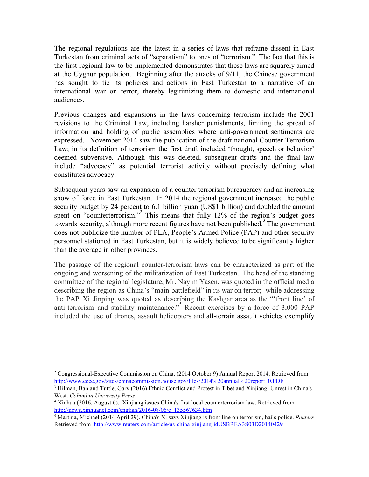The regional regulations are the latest in a series of laws that reframe dissent in East Turkestan from criminal acts of "separatism" to ones of "terrorism." The fact that this is the first regional law to be implemented demonstrates that these laws are squarely aimed at the Uyghur population. Beginning after the attacks of 9/11, the Chinese government has sought to tie its policies and actions in East Turkestan to a narrative of an international war on terror, thereby legitimizing them to domestic and international audiences.

Previous changes and expansions in the laws concerning terrorism include the 2001 revisions to the Criminal Law, including harsher punishments, limiting the spread of information and holding of public assemblies where antigovernment sentiments are expressed. November 2014 saw the publication of the draft national Counter-Terrorism Law; in its definition of terrorism the first draft included 'thought, speech or behavior' deemed subversive. Although this was deleted, subsequent drafts and the final law include "advocacy" as potential terrorist activity without precisely defining what constitutes advocacy.

Subsequent years saw an expansion of a counter terrorism bureaucracy and an increasing show of force in East Turkestan. In 2014 the regional government increased the public security budget by 24 percent to 6.1 billion yuan (US\$1 billion) and doubled the amount spent on "counterterrorism."<sup>2</sup> This means that fully  $12\%$  of the region's budget goes towards security, although more recent figures have not been published.<sup>3</sup> The government does not publicize the number of PLA, People's Armed Police (PAP) and other security personnel stationed in East Turkestan, but it is widely believed to be significantly higher than the average in other provinces.

The passage of the regional counter-terrorism laws can be characterized as part of the ongoing and worsening of the militarization of East Turkestan. The head of the standing committee of the regional legislature, Mr. Nayim Yasen, was quoted in the official media describing the region as China's "main battlefield" in its war on terror; while addressing the PAP Xi Jinping was quoted as describing the Kashgar area as the "'front line' of anti-terrorism and stability maintenance."<sup>5</sup> Recent exercises by a force of  $3,000$  PAP included the use of drones, assault helicopters and all-terrain assault vehicles exemplify

<sup>&</sup>lt;sup>2</sup> Congressional-Executive Commission on China, (2014 October 9) Annual Report 2014. Retrieved from [http://www.cecc.gov/sites/chinacommission.house.gov/files/2014%20annual%20report\\_0.PDF](http://www.cecc.gov/sites/chinacommission.house.gov/files/2014%20annual%20report_0.PDF)

<sup>&</sup>lt;sup>3</sup> Hilman, Ban and Tuttle, Gary (2016) Ethnic Conflict and Protest in Tibet and Xinjiang: Unrest in China's West. *Columbia University Press*

<sup>4</sup> Xinhua (2016, August 6). Xinjiang issues China's first local counterterrorism law. Retrieved from http://news.xinhuanet.com/english/2016-08/06/c\_135567634.htm

<sup>5</sup> Martina, Michael (2014 April 29). China's Xi says Xinjiang is front line on terrorism, hails police. *Reuters* Retrieved from http://www.reuters.com/article/us-china-xinjiang-idUSBREA3S03D20140429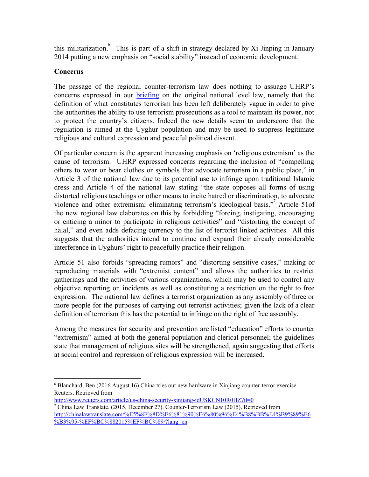this militarization. <sup>6</sup> This is part of a shift in strategy declared by Xi Jinping in January 2014 putting a new emphasis on "social stability" instead of economic development.

## **Concerns**

The passage of the regional counter-terrorism law does nothing to assuage UHRP's concerns expressed in our [briefing](http://uhrp.org/press-release/briefing-chinas-new-counter-terrorism-law-and-its-human-rights-implications-uyghur) on the original national level law, namely that the definition of what constitutes terrorism has been left deliberately vague in order to give the authorities the ability to use terrorism prosecutions as a tool to maintain its power, not to protect the country's citizens. Indeed the new details seem to underscore that the regulation is aimed at the Uyghur population and may be used to suppress legitimate religious and cultural expression and peaceful political dissent.

Of particular concern is the apparent increasing emphasis on 'religious extremism' as the cause of terrorism. UHRP expressed concerns regarding the inclusion of "compelling others to wear or bear clothes or symbols that advocate terrorism in a public place," in Article 3 of the national law due to its potential use to infringe upon traditional Islamic dress and Article 4 of the national law stating "the state opposes all forms of using distorted religious teachings or other means to incite hatred or discrimination, to advocate violence and other extremism; eliminating terrorism's ideological basis." Article 51of <sup>7</sup> the new regional law elaborates on this by forbidding "forcing, instigating, encouraging or enticing a minor to participate in religious activities" and "distorting the concept of halal," and even adds defacing currency to the list of terrorist linked activities. All this suggests that the authorities intend to continue and expand their already considerable interference in Uyghurs' right to peacefully practice their religion.

Article 51 also forbids "spreading rumors" and "distorting sensitive cases," making or reproducing materials with "extremist content" and allows the authorities to restrict gatherings and the activities of various organizations, which may be used to control any objective reporting on incidents as well as constituting a restriction on the right to free expression. The national law defines a terrorist organization as any assembly of three or more people for the purposes of carrying out terrorist activities; given the lack of a clear definition of terrorism this has the potential to infringe on the right of free assembly.

Among the measures for security and prevention are listed "education" efforts to counter "extremism" aimed at both the general population and clerical personnel; the guidelines state that management of religious sites will be strengthened, again suggesting that efforts at social control and repression of religious expression will be increased.

<sup>&</sup>lt;sup>6</sup> Blanchard, Ben (2016 August 16) China tries out new hardware in Xinjiang counter-terror exercise Reuters. Retrieved from

http://www.reuters.com/article/us-china-security-xinjiang-idUSKCN10R0HZ?il=0

<sup>&</sup>lt;sup>7</sup> China Law Translate. (2015, December 27). Counter-Terrorism Law (2015). Retrieved from [http://chinalawtranslate.com/%E5%8F%8D%E6%81%90%E6%80%96%E4%B8%BB%E4%B9%89%E6](http://chinalawtranslate.com/%E5%8F%8D%E6%81%90%E6%80%96%E4%B8%BB%E4%B9%89%E6%B3%95-%EF%BC%882015%EF%BC%89/?lang=en) %B3%95-%EF%BC%882015%EF%BC%89/?lang=en